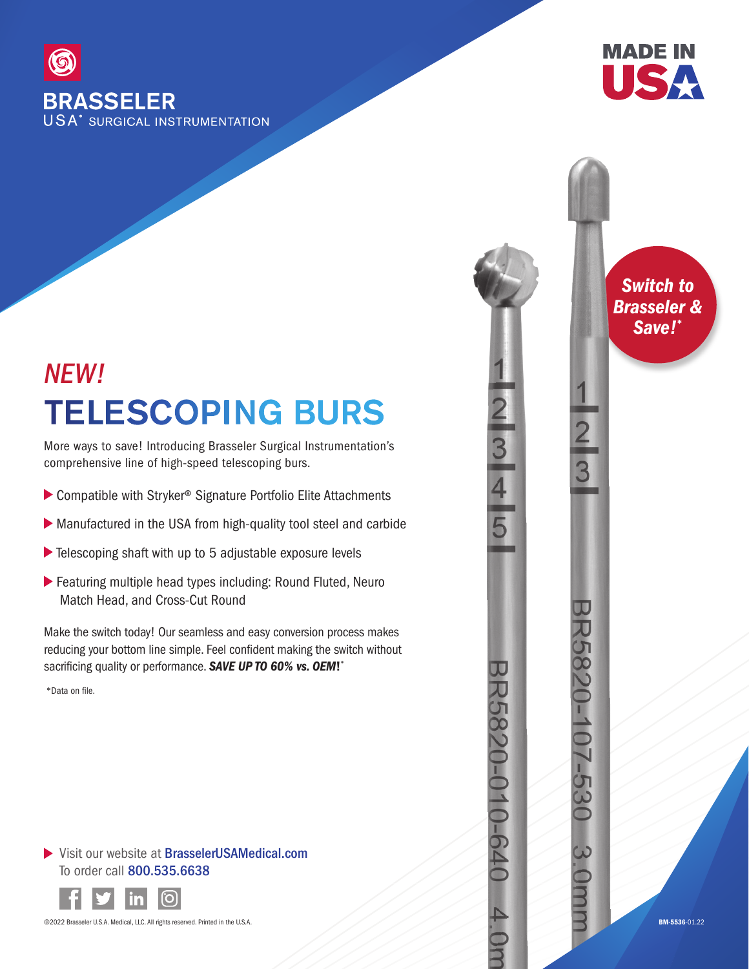

## TELESCOPING BURS *NEW!*

More ways to save! Introducing Brasseler Surgical Instrumentation's comprehensive line of high-speed telescoping burs.

- ▶ Compatible with Stryker<sup>®</sup> Signature Portfolio Elite Attachments
- Manufactured in the USA from high-quality tool steel and carbide
- ▶ Telescoping shaft with up to 5 adjustable exposure levels
- Featuring multiple head types including: Round Fluted, Neuro Match Head, and Cross-Cut Round

Make the switch today! Our seamless and easy conversion process makes reducing your bottom line simple. Feel confident making the switch without sacrificing quality or performance. *SAVE UP TO 60% vs. OEM*! \*

\*Data on file.

## ▶ Visit our website at BrasselerUSAMedical.com To order call 800.535.6638



©2022 Brasseler U.S.A. Medical, LLC. All rights reserved. Printed in the U.S.A.